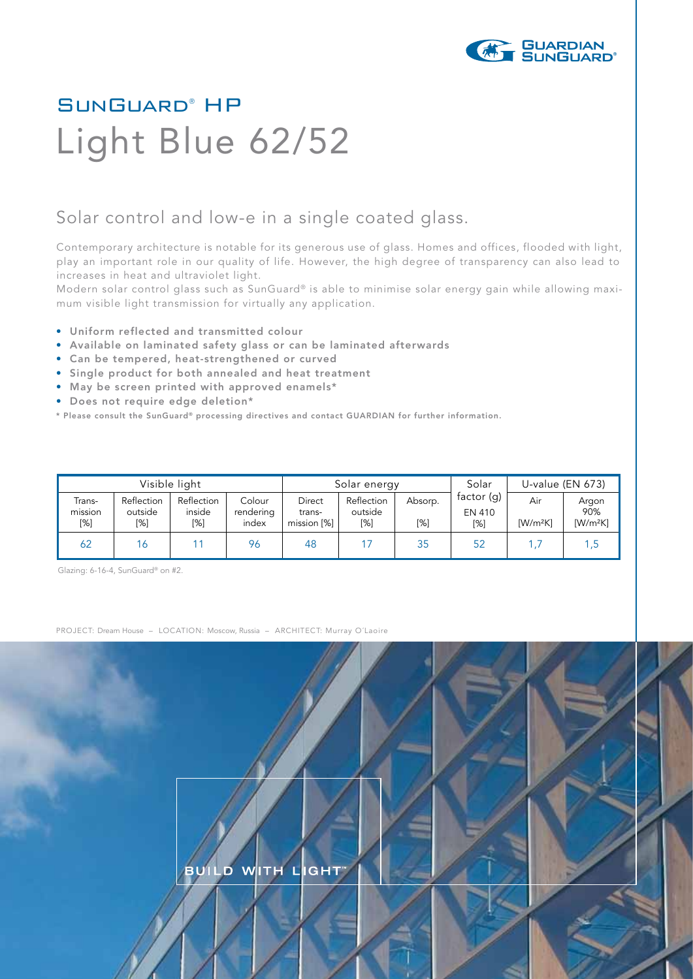

## SunGuard® HP Light Blue 62/52

## Solar control and low-e in a single coated glass.

Contemporary architecture is notable for its generous use of glass. Homes and offices, flooded with light, play an important role in our quality of life. However, the high degree of transparency can also lead to increases in heat and ultraviolet light.

Modern solar control glass such as SunGuard® is able to minimise solar energy gain while allowing maximum visible light transmission for virtually any application.

- Uniform reflected and transmitted colour
- Available on laminated safety glass or can be laminated afterwards
- Can be tempered, heat-strengthened or curved
- Single product for both annealed and heat treatment
- May be screen printed with approved enamels\*
- Does not require edge deletion\*
- \* Please consult the SunGuard® processing directives and contact GUARDIAN for further information.

| Visible light            |                              |                             |                              | Solar energy                    |                              |                | Solar                       | U-value (EN 673)  |                                         |
|--------------------------|------------------------------|-----------------------------|------------------------------|---------------------------------|------------------------------|----------------|-----------------------------|-------------------|-----------------------------------------|
| Trans-<br>mission<br>[%] | Reflection<br>outside<br>[%] | Reflection<br>inside<br>[%] | Colour<br>rendering<br>index | Direct<br>trans-<br>mission [%] | Reflection<br>outside<br>[%] | Absorp.<br>[%] | factor (g)<br>EN 410<br>[%] | Air<br>$[W/m^2K]$ | Argon<br>90%<br>$\text{[W/m}^2\text{K}$ |
| 62                       | 16                           |                             | 96                           | 48                              |                              | 35             | 52                          | 1.7               | 1 ,5.                                   |

Glazing: 6-16-4, SunGuard® on #2.

PROJECT: Dream House – LOCATION: Moscow, Russia – ARCHITECT: Murray O´Laoire